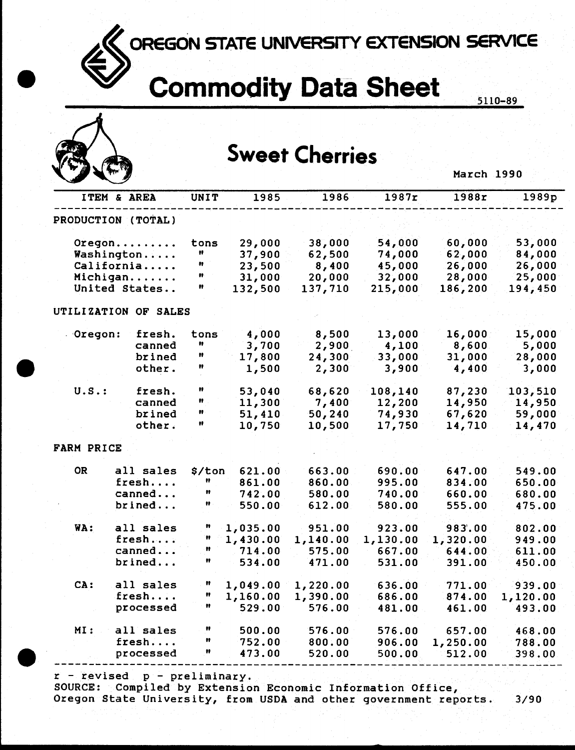OREGON STATE UNIVERSITY EXTENSION SERVICE

## **Commodity Data Sheet**

5110-89

|            |                      |             |          | <b>Sweet Cherries</b> |          |            |          |
|------------|----------------------|-------------|----------|-----------------------|----------|------------|----------|
|            |                      |             |          |                       |          | March 1990 |          |
|            | ITEM & AREA          | <b>UNIT</b> | 1985     | 1986                  | 1987r    | 1988r      | 1989p    |
|            | PRODUCTION (TOTAL)   |             |          |                       |          |            |          |
|            | $O$ regon            | tons        | 29,000   | 38,000                | 54,000   | 60,000     | 53,000   |
|            | Washington           | n           | 37,900   | 62,500                | 74,000   | 62,000     | 84,000   |
|            | California           | n           | 23,500   | 8,400                 | 45,000   | 26,000     | 26,000   |
|            | Michigan             | n           | 31,000   | 20,000                | 32,000   | 28,000     | 25,000   |
|            | United States        | Ħ           | 132,500  | 137,710               | 215,000  | 186,200    | 194,450  |
|            | UTILIZATION OF SALES |             |          |                       |          |            |          |
| Oregon:    | fresh.               | tons        | 4,000    | 8,500                 | 13,000   | 16,000     | 15,000   |
|            | canned               | n           | 3,700    | 2,900                 | 4,100    | 8,600      | 5,000    |
|            | brined               | Ħ           | 17,800   | 24,300                | 33,000   | 31,000     | 28,000   |
|            | other.               | Ħ           | 1,500    | 2,300                 | 3,900    | 4,400      | 3,000    |
| $U.S.$ :   | fresh.               | n           | 53,040   | 68,620                | 108,140  | 87,230     | 103,510  |
|            | canned               | Ħ           | 11,300   | 7,400                 | 12,200   | 14,950     | 14,950   |
|            | brined               | n           | 51,410   | 50,240                | 74,930   | 67,620     | 59,000   |
|            | other.               | n           | 10,750   | 10,500                | 17,750   | 14,710     | 14,470   |
| FARM PRICE |                      |             |          |                       |          |            |          |
| <b>OR</b>  | all sales            | \$/ton      | 621.00   | 663.00                | 690.00   | 647.00     | 549.00   |
|            | fresh                | n           | 861.00   | 860.00                | 995.00   | 834.00     | 650.00   |
|            | canned               | n           | 742.00   | 580.00                | 740.00   | 660.00     | 680.00   |
|            | brined               | n           | 550.00   | 612.00                | 580.00   | 555.00     | 475.00   |
| WA:        | all sales            |             | 1,035.00 | 951.00                | 923.00   | 983.00     | 802.00   |
|            | fresh.               | n           | 1,430.00 | 1,140.00              | 1,130.00 | 1,320.00   | 949.00   |
|            | canned               | Ħ           | 714.00   | 575.00                | 667.00   | 644.00     | 611.00   |
|            | brined               | Ħ           | 534.00   | 471.00                | 531.00   | 391.00     | 450.00   |
| CA:        | all sales            | Ħ           | 1,049.00 | 1,220.00              | 636.00   | 771.00     | 939.00   |
|            | fresh                | Ħ           | 1,160.00 | 1,390.00              | 686.00   | 874.00     | 1,120.00 |
|            | processed            | Ħ           | 529.00   | 576.00                | 481.00   | 461.00     | 493.00   |
| MI:        | all sales            | Ħ           | 500.00   | 576.00                | 576.00   | 657.00     | 468.00   |
|            | fresh                | Ħ           | 752.00   | 800.00                | 906.00   | 1,250.00   | 788.00   |
|            | processed            | Ħ           | 473.00   | 520.00                | 500.00   | 512.00     | 398.00   |

 $r$  - revised  $p$  - preliminary.

SOURCE: Compiled by Extension Economic Information Office,

Oregon State University, from USDA and other government reports.  $3/90$